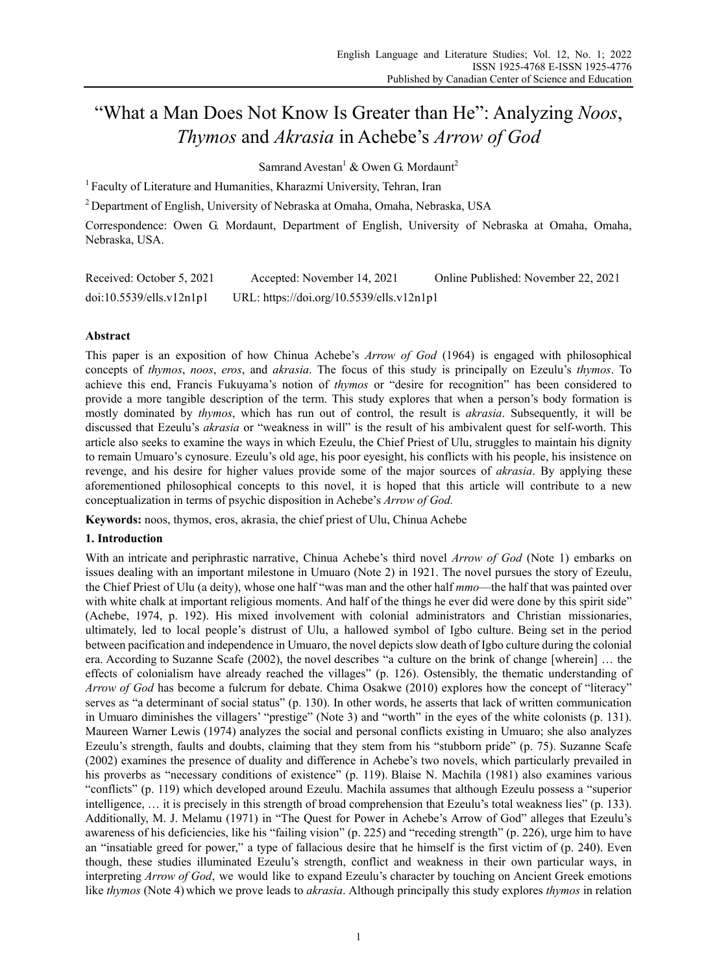# "What a Man Does Not Know Is Greater than He": Analyzing *Noos*, *Thymos* and *Akrasia* in Achebe's *Arrow of God*

Samrand Avestan $^1$  & Owen G. Mordaunt $^2$ 

<sup>1</sup> Faculty of Literature and Humanities, Kharazmi University, Tehran, Iran

2 Department of English, University of Nebraska at Omaha, Omaha, Nebraska, USA

Correspondence: Owen G. Mordaunt, Department of English, University of Nebraska at Omaha, Omaha, Nebraska, USA.

| Received: October 5, 2021 | Accepted: November 14, 2021               | Online Published: November 22, 2021 |
|---------------------------|-------------------------------------------|-------------------------------------|
| doi:10.5539/ells.v12n1p1  | URL: https://doi.org/10.5539/ells.v12n1p1 |                                     |

# **Abstract**

This paper is an exposition of how Chinua Achebe's *Arrow of God* (1964) is engaged with philosophical concepts of *thymos*, *noos*, *eros*, and *akrasia*. The focus of this study is principally on Ezeulu's *thymos*. To achieve this end, Francis Fukuyama's notion of *thymos* or "desire for recognition" has been considered to provide a more tangible description of the term. This study explores that when a person's body formation is mostly dominated by *thymos*, which has run out of control, the result is *akrasia*. Subsequently, it will be discussed that Ezeulu's *akrasia* or "weakness in will" is the result of his ambivalent quest for self-worth. This article also seeks to examine the ways in which Ezeulu, the Chief Priest of Ulu, struggles to maintain his dignity to remain Umuaro's cynosure. Ezeulu's old age, his poor eyesight, his conflicts with his people, his insistence on revenge, and his desire for higher values provide some of the major sources of *akrasia*. By applying these aforementioned philosophical concepts to this novel, it is hoped that this article will contribute to a new conceptualization in terms of psychic disposition in Achebe's *Arrow of God.*

**Keywords:** noos, thymos, eros, akrasia, the chief priest of Ulu, Chinua Achebe

## **1. Introduction**

With an intricate and periphrastic narrative, Chinua Achebe's third novel *Arrow of God* (Note 1) embarks on issues dealing with an important milestone in Umuaro (Note 2) in 1921. The novel pursues the story of Ezeulu, the Chief Priest of Ulu (a deity), whose one half "was man and the other half *mmo*—the half that was painted over with white chalk at important religious moments. And half of the things he ever did were done by this spirit side" (Achebe, 1974, p. 192). His mixed involvement with colonial administrators and Christian missionaries, ultimately, led to local people's distrust of Ulu, a hallowed symbol of Igbo culture. Being set in the period between pacification and independence in Umuaro, the novel depicts slow death of Igbo culture during the colonial era. According to Suzanne Scafe (2002), the novel describes "a culture on the brink of change [wherein] … the effects of colonialism have already reached the villages" (p. 126). Ostensibly, the thematic understanding of *Arrow of God* has become a fulcrum for debate. Chima Osakwe (2010) explores how the concept of "literacy" serves as "a determinant of social status" (p. 130). In other words, he asserts that lack of written communication in Umuaro diminishes the villagers' "prestige" (Note 3) and "worth" in the eyes of the white colonists (p. 131). Maureen Warner Lewis (1974) analyzes the social and personal conflicts existing in Umuaro; she also analyzes Ezeulu's strength, faults and doubts, claiming that they stem from his "stubborn pride" (p. 75). Suzanne Scafe (2002) examines the presence of duality and difference in Achebe's two novels, which particularly prevailed in his proverbs as "necessary conditions of existence" (p. 119). Blaise N. Machila (1981) also examines various "conflicts" (p. 119) which developed around Ezeulu. Machila assumes that although Ezeulu possess a "superior intelligence, … it is precisely in this strength of broad comprehension that Ezeulu's total weakness lies" (p. 133). Additionally, M. J. Melamu (1971) in "The Quest for Power in Achebe's Arrow of God" alleges that Ezeulu's awareness of his deficiencies, like his "failing vision" (p. 225) and "receding strength" (p. 226), urge him to have an "insatiable greed for power," a type of fallacious desire that he himself is the first victim of (p. 240). Even though, these studies illuminated Ezeulu's strength, conflict and weakness in their own particular ways, in interpreting *Arrow of God*, we would like to expand Ezeulu's character by touching on Ancient Greek emotions like *thymos* (Note 4) which we prove leads to *akrasia*. Although principally this study explores *thymos* in relation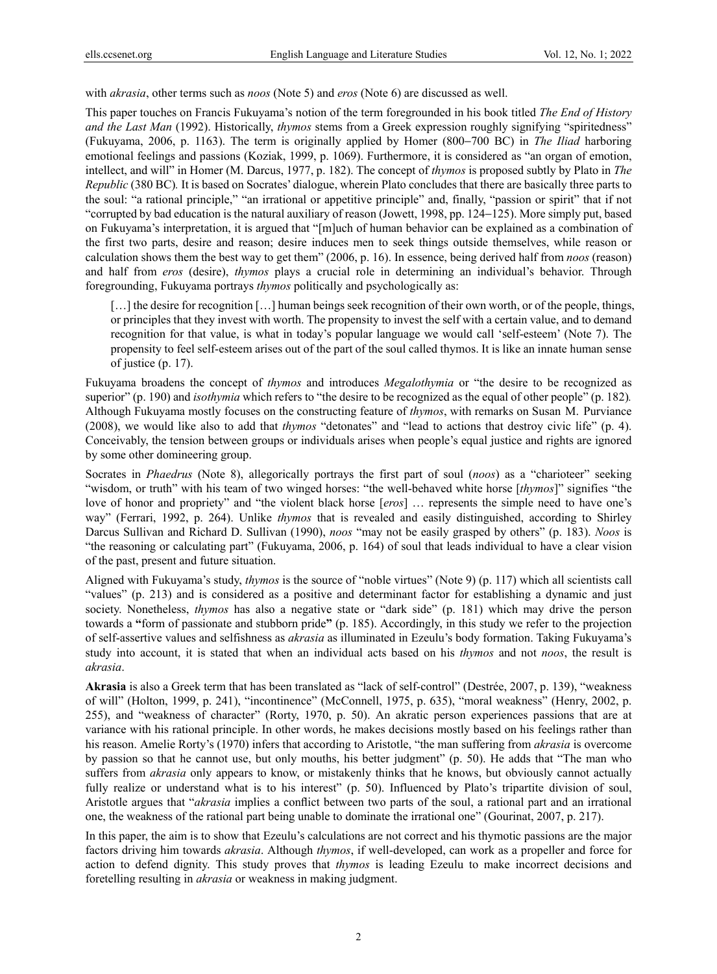with *akrasia*, other terms such as *noos* (Note 5) and *eros* (Note 6) are discussed as well.

This paper touches on Francis Fukuyama's notion of the term foregrounded in his book titled *The End of History and the Last Man* (1992). Historically, *thymos* stems from a Greek expression roughly signifying "spiritedness" (Fukuyama, 2006, p. 1163). The term is originally applied by Homer (800−700 BC) in *The Iliad* harboring emotional feelings and passions (Koziak, 1999, p. 1069). Furthermore, it is considered as "an organ of emotion, intellect, and will" in Homer (M. Darcus, 1977, p. 182). The concept of *thymos* is proposed subtly by Plato in *The Republic* (380 BC)*.* It is based on Socrates' dialogue, wherein Plato concludes that there are basically three parts to the soul: "a rational principle," "an irrational or appetitive principle" and, finally, "passion or spirit" that if not "corrupted by bad education is the natural auxiliary of reason (Jowett, 1998, pp. 124−125). More simply put, based on Fukuyama's interpretation, it is argued that "[m]uch of human behavior can be explained as a combination of the first two parts, desire and reason; desire induces men to seek things outside themselves, while reason or calculation shows them the best way to get them" (2006, p. 16). In essence, being derived half from *noos* (reason) and half from *eros* (desire), *thymos* plays a crucial role in determining an individual's behavior. Through foregrounding, Fukuyama portrays *thymos* politically and psychologically as:

[...] the desire for recognition [...] human beings seek recognition of their own worth, or of the people, things, or principles that they invest with worth. The propensity to invest the self with a certain value, and to demand recognition for that value, is what in today's popular language we would call 'self-esteem' (Note 7). The propensity to feel self-esteem arises out of the part of the soul called thymos. It is like an innate human sense of justice (p. 17).

Fukuyama broadens the concept of *thymos* and introduces *Megalothymia* or "the desire to be recognized as superior" (p. 190) and *isothymia* which refers to "the desire to be recognized as the equal of other people" (p. 182). Although Fukuyama mostly focuses on the constructing feature of *thymos*, with remarks on Susan M. Purviance (2008), we would like also to add that *thymos* "detonates" and "lead to actions that destroy civic life" (p. 4). Conceivably, the tension between groups or individuals arises when people's equal justice and rights are ignored by some other domineering group.

Socrates in *Phaedrus* (Note 8), allegorically portrays the first part of soul (*noos*) as a "charioteer" seeking "wisdom, or truth" with his team of two winged horses: "the well-behaved white horse [*thymos*]" signifies "the love of honor and propriety" and "the violent black horse [*eros*] … represents the simple need to have one's way" (Ferrari, 1992, p. 264). Unlike *thymos* that is revealed and easily distinguished, according to Shirley Darcus Sullivan and Richard D. Sullivan (1990), *noos* "may not be easily grasped by others" (p. 183). *Noos* is "the reasoning or calculating part" (Fukuyama, 2006, p. 164) of soul that leads individual to have a clear vision of the past, present and future situation.

Aligned with Fukuyama's study, *thymos* is the source of "noble virtues" (Note 9) (p. 117) which all scientists call "values" (p. 213) and is considered as a positive and determinant factor for establishing a dynamic and just society. Nonetheless, *thymos* has also a negative state or "dark side" (p. 181) which may drive the person towards a **"**form of passionate and stubborn pride**"** (p. 185). Accordingly, in this study we refer to the projection of self-assertive values and selfishness as *akrasia* as illuminated in Ezeulu's body formation. Taking Fukuyama's study into account, it is stated that when an individual acts based on his *thymos* and not *noos*, the result is *akrasia*.

**Akrasia** is also a Greek term that has been translated as "lack of self-control" (Destrée, 2007, p. 139), "weakness of will" (Holton, 1999, p. 241), "incontinence" (McConnell, 1975, p. 635), "moral weakness" (Henry, 2002, p. 255), and "weakness of character" (Rorty, 1970, p. 50). An akratic person experiences passions that are at variance with his rational principle. In other words, he makes decisions mostly based on his feelings rather than his reason. Amelie Rorty's (1970) infers that according to Aristotle, "the man suffering from *akrasia* is overcome by passion so that he cannot use, but only mouths, his better judgment" (p. 50). He adds that "The man who suffers from *akrasia* only appears to know, or mistakenly thinks that he knows, but obviously cannot actually fully realize or understand what is to his interest" (p. 50). Influenced by Plato's tripartite division of soul, Aristotle argues that "*akrasia* implies a conflict between two parts of the soul, a rational part and an irrational one, the weakness of the rational part being unable to dominate the irrational one" (Gourinat, 2007, p. 217).

In this paper, the aim is to show that Ezeulu's calculations are not correct and his thymotic passions are the major factors driving him towards *akrasia*. Although *thymos*, if well-developed, can work as a propeller and force for action to defend dignity. This study proves that *thymos* is leading Ezeulu to make incorrect decisions and foretelling resulting in *akrasia* or weakness in making judgment.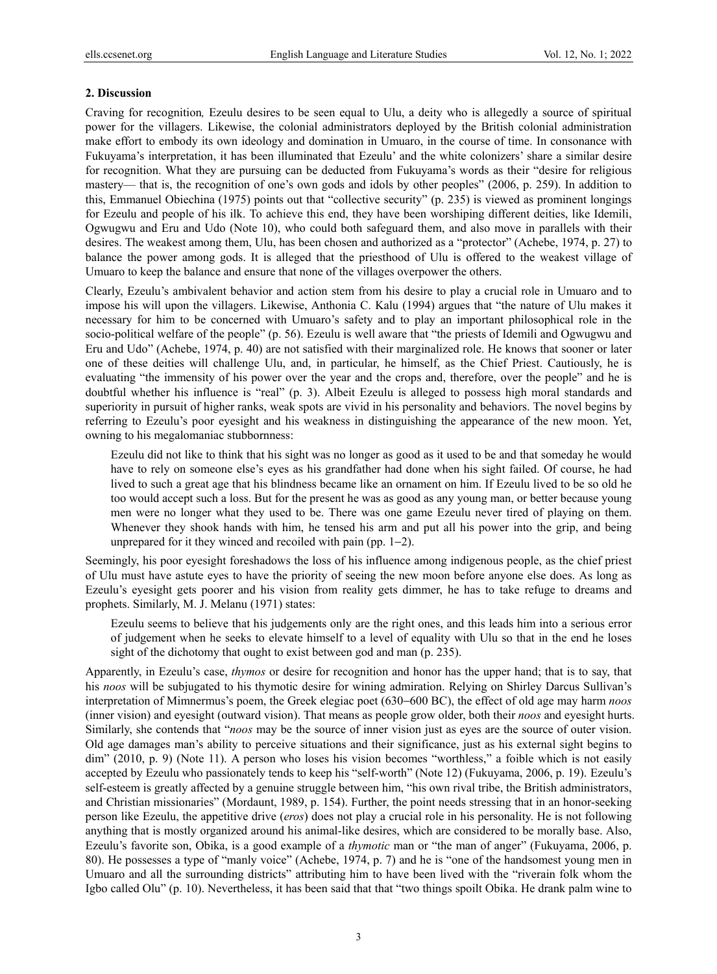### **2. Discussion**

Craving for recognition*,* Ezeulu desires to be seen equal to Ulu, a deity who is allegedly a source of spiritual power for the villagers. Likewise, the colonial administrators deployed by the British colonial administration make effort to embody its own ideology and domination in Umuaro, in the course of time. In consonance with Fukuyama's interpretation, it has been illuminated that Ezeulu' and the white colonizers' share a similar desire for recognition. What they are pursuing can be deducted from Fukuyama's words as their "desire for religious mastery— that is, the recognition of one's own gods and idols by other peoples" (2006, p. 259). In addition to this, Emmanuel Obiechina (1975) points out that "collective security" (p. 235) is viewed as prominent longings for Ezeulu and people of his ilk. To achieve this end, they have been worshiping different deities, like Idemili, Ogwugwu and Eru and Udo (Note 10), who could both safeguard them, and also move in parallels with their desires. The weakest among them, Ulu, has been chosen and authorized as a "protector" (Achebe, 1974, p. 27) to balance the power among gods. It is alleged that the priesthood of Ulu is offered to the weakest village of Umuaro to keep the balance and ensure that none of the villages overpower the others.

Clearly, Ezeulu's ambivalent behavior and action stem from his desire to play a crucial role in Umuaro and to impose his will upon the villagers. Likewise, Anthonia C. Kalu (1994) argues that "the nature of Ulu makes it necessary for him to be concerned with Umuaro's safety and to play an important philosophical role in the socio-political welfare of the people" (p. 56). Ezeulu is well aware that "the priests of Idemili and Ogwugwu and Eru and Udo" (Achebe, 1974, p. 40) are not satisfied with their marginalized role. He knows that sooner or later one of these deities will challenge Ulu, and, in particular, he himself, as the Chief Priest. Cautiously, he is evaluating "the immensity of his power over the year and the crops and, therefore, over the people" and he is doubtful whether his influence is "real" (p. 3). Albeit Ezeulu is alleged to possess high moral standards and superiority in pursuit of higher ranks, weak spots are vivid in his personality and behaviors. The novel begins by referring to Ezeulu's poor eyesight and his weakness in distinguishing the appearance of the new moon. Yet, owning to his megalomaniac stubbornness:

Ezeulu did not like to think that his sight was no longer as good as it used to be and that someday he would have to rely on someone else's eyes as his grandfather had done when his sight failed. Of course, he had lived to such a great age that his blindness became like an ornament on him. If Ezeulu lived to be so old he too would accept such a loss. But for the present he was as good as any young man, or better because young men were no longer what they used to be. There was one game Ezeulu never tired of playing on them. Whenever they shook hands with him, he tensed his arm and put all his power into the grip, and being unprepared for it they winced and recoiled with pain (pp. 1−2).

Seemingly, his poor eyesight foreshadows the loss of his influence among indigenous people, as the chief priest of Ulu must have astute eyes to have the priority of seeing the new moon before anyone else does. As long as Ezeulu's eyesight gets poorer and his vision from reality gets dimmer, he has to take refuge to dreams and prophets. Similarly, M. J. Melanu (1971) states:

Ezeulu seems to believe that his judgements only are the right ones, and this leads him into a serious error of judgement when he seeks to elevate himself to a level of equality with Ulu so that in the end he loses sight of the dichotomy that ought to exist between god and man (p. 235).

Apparently, in Ezeulu's case, *thymos* or desire for recognition and honor has the upper hand; that is to say, that his *noos* will be subjugated to his thymotic desire for wining admiration. Relying on Shirley Darcus Sullivan's interpretation of Mimnermus's poem, the Greek elegiac poet (630−600 BC), the effect of old age may harm *noos* (inner vision) and eyesight (outward vision). That means as people grow older, both their *noos* and eyesight hurts. Similarly, she contends that "*noos* may be the source of inner vision just as eyes are the source of outer vision. Old age damages man's ability to perceive situations and their significance, just as his external sight begins to dim" (2010, p. 9) (Note 11). A person who loses his vision becomes "worthless," a foible which is not easily accepted by Ezeulu who passionately tends to keep his "self-worth" (Note 12) (Fukuyama, 2006, p. 19). Ezeulu's self-esteem is greatly affected by a genuine struggle between him, "his own rival tribe, the British administrators, and Christian missionaries" (Mordaunt, 1989, p. 154). Further, the point needs stressing that in an honor-seeking person like Ezeulu, the appetitive drive (*eros*) does not play a crucial role in his personality. He is not following anything that is mostly organized around his animal-like desires, which are considered to be morally base. Also, Ezeulu's favorite son, Obika, is a good example of a *thymotic* man or "the man of anger" (Fukuyama, 2006, p. 80). He possesses a type of "manly voice" (Achebe, 1974, p. 7) and he is "one of the handsomest young men in Umuaro and all the surrounding districts" attributing him to have been lived with the "riverain folk whom the Igbo called Olu" (p. 10). Nevertheless, it has been said that that "two things spoilt Obika. He drank palm wine to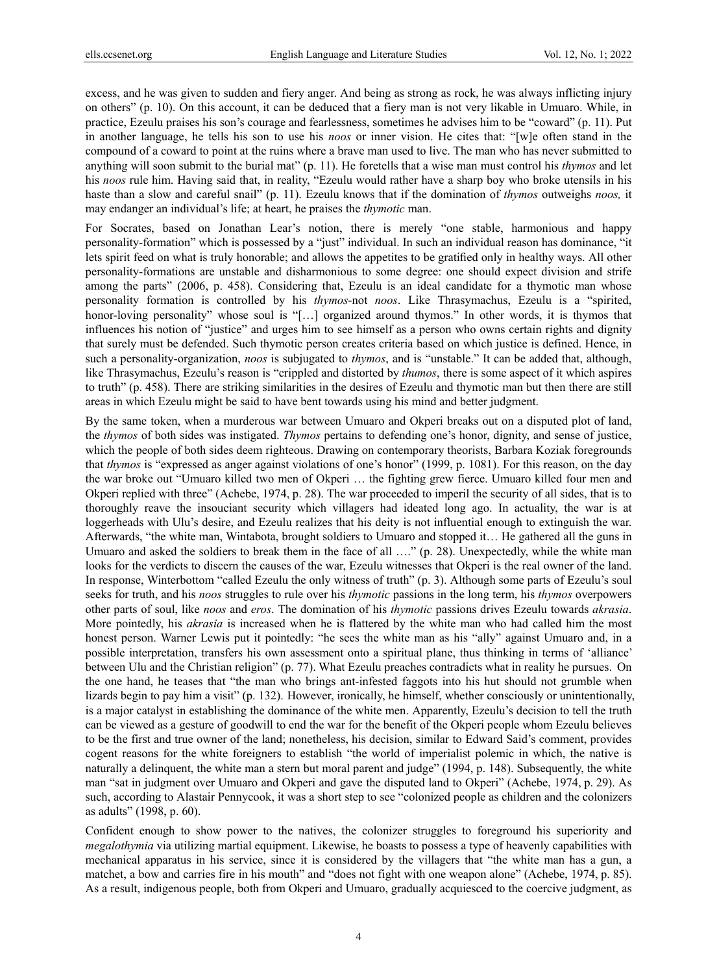excess, and he was given to sudden and fiery anger. And being as strong as rock, he was always inflicting injury on others" (p. 10). On this account, it can be deduced that a fiery man is not very likable in Umuaro. While, in practice, Ezeulu praises his son's courage and fearlessness, sometimes he advises him to be "coward" (p. 11). Put in another language, he tells his son to use his *noos* or inner vision. He cites that: "[w]e often stand in the compound of a coward to point at the ruins where a brave man used to live. The man who has never submitted to anything will soon submit to the burial mat" (p. 11). He foretells that a wise man must control his *thymos* and let his *noos* rule him. Having said that, in reality, "Ezeulu would rather have a sharp boy who broke utensils in his haste than a slow and careful snail" (p. 11). Ezeulu knows that if the domination of *thymos* outweighs *noos,* it may endanger an individual's life; at heart, he praises the *thymotic* man.

For Socrates, based on Jonathan Lear's notion, there is merely "one stable, harmonious and happy personality-formation" which is possessed by a "just" individual. In such an individual reason has dominance, "it lets spirit feed on what is truly honorable; and allows the appetites to be gratified only in healthy ways. All other personality-formations are unstable and disharmonious to some degree: one should expect division and strife among the parts" (2006, p. 458). Considering that, Ezeulu is an ideal candidate for a thymotic man whose personality formation is controlled by his *thymos*-not *noos*. Like Thrasymachus, Ezeulu is a "spirited, honor-loving personality" whose soul is "[...] organized around thymos." In other words, it is thymos that influences his notion of "justice" and urges him to see himself as a person who owns certain rights and dignity that surely must be defended. Such thymotic person creates criteria based on which justice is defined. Hence, in such a personality-organization, *noos* is subjugated to *thymos*, and is "unstable." It can be added that, although, like Thrasymachus, Ezeulu's reason is "crippled and distorted by *thumos*, there is some aspect of it which aspires to truth" (p. 458). There are striking similarities in the desires of Ezeulu and thymotic man but then there are still areas in which Ezeulu might be said to have bent towards using his mind and better judgment.

By the same token, when a murderous war between Umuaro and Okperi breaks out on a disputed plot of land, the *thymos* of both sides was instigated. *Thymos* pertains to defending one's honor, dignity, and sense of justice, which the people of both sides deem righteous. Drawing on contemporary theorists, Barbara Koziak foregrounds that *thymos* is "expressed as anger against violations of one's honor" (1999, p. 1081). For this reason, on the day the war broke out "Umuaro killed two men of Okperi … the fighting grew fierce. Umuaro killed four men and Okperi replied with three" (Achebe, 1974, p. 28). The war proceeded to imperil the security of all sides, that is to thoroughly reave the insouciant security which villagers had ideated long ago. In actuality, the war is at loggerheads with Ulu's desire, and Ezeulu realizes that his deity is not influential enough to extinguish the war. Afterwards, "the white man, Wintabota, brought soldiers to Umuaro and stopped it… He gathered all the guns in Umuaro and asked the soldiers to break them in the face of all …." (p. 28). Unexpectedly, while the white man looks for the verdicts to discern the causes of the war, Ezeulu witnesses that Okperi is the real owner of the land. In response, Winterbottom "called Ezeulu the only witness of truth" (p. 3). Although some parts of Ezeulu's soul seeks for truth, and his *noos* struggles to rule over his *thymotic* passions in the long term, his *thymos* overpowers other parts of soul, like *noos* and *eros*. The domination of his *thymotic* passions drives Ezeulu towards *akrasia*. More pointedly, his *akrasia* is increased when he is flattered by the white man who had called him the most honest person. Warner Lewis put it pointedly: "he sees the white man as his "ally" against Umuaro and, in a possible interpretation, transfers his own assessment onto a spiritual plane, thus thinking in terms of 'alliance' between Ulu and the Christian religion" (p. 77). What Ezeulu preaches contradicts what in reality he pursues. On the one hand, he teases that "the man who brings ant-infested faggots into his hut should not grumble when lizards begin to pay him a visit" (p. 132). However, ironically, he himself, whether consciously or unintentionally, is a major catalyst in establishing the dominance of the white men. Apparently, Ezeulu's decision to tell the truth can be viewed as a gesture of goodwill to end the war for the benefit of the Okperi people whom Ezeulu believes to be the first and true owner of the land; nonetheless, his decision, similar to Edward Said's comment, provides cogent reasons for the white foreigners to establish "the world of imperialist polemic in which, the native is naturally a delinquent, the white man a stern but moral parent and judge" (1994, p. 148). Subsequently, the white man "sat in judgment over Umuaro and Okperi and gave the disputed land to Okperi" (Achebe, 1974, p. 29). As such, according to Alastair Pennycook, it was a short step to see "colonized people as children and the colonizers as adults" (1998, p. 60).

Confident enough to show power to the natives, the colonizer struggles to foreground his superiority and *megalothymia* via utilizing martial equipment. Likewise, he boasts to possess a type of heavenly capabilities with mechanical apparatus in his service, since it is considered by the villagers that "the white man has a gun, a matchet, a bow and carries fire in his mouth" and "does not fight with one weapon alone" (Achebe, 1974, p. 85). As a result, indigenous people, both from Okperi and Umuaro, gradually acquiesced to the coercive judgment, as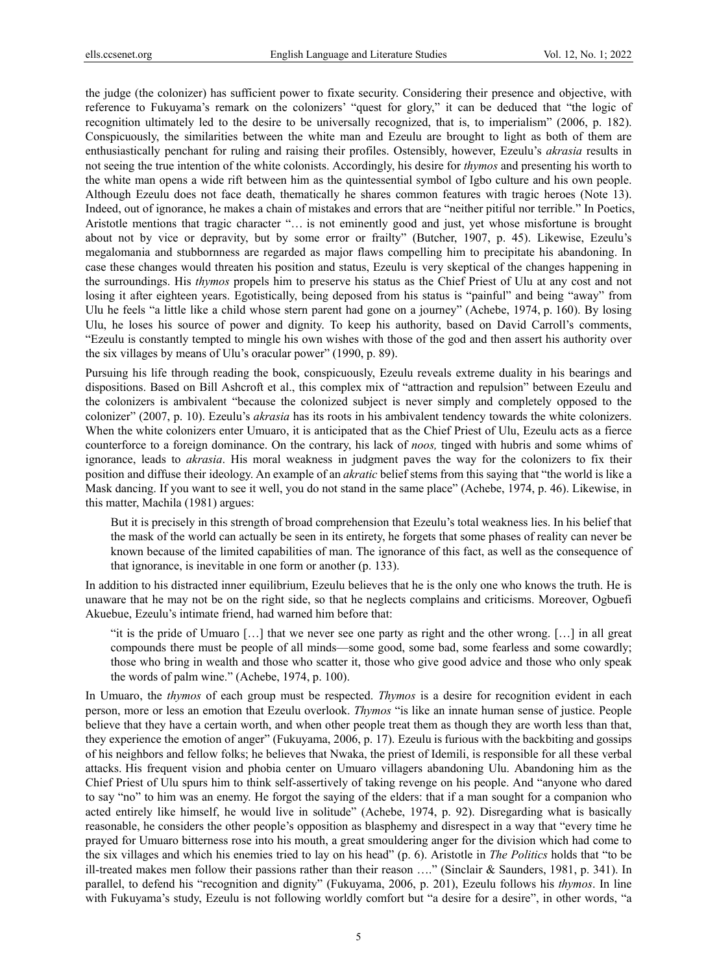the judge (the colonizer) has sufficient power to fixate security. Considering their presence and objective, with reference to Fukuyama's remark on the colonizers' "quest for glory," it can be deduced that "the logic of recognition ultimately led to the desire to be universally recognized, that is, to imperialism" (2006, p. 182). Conspicuously, the similarities between the white man and Ezeulu are brought to light as both of them are enthusiastically penchant for ruling and raising their profiles. Ostensibly, however, Ezeulu's *akrasia* results in not seeing the true intention of the white colonists. Accordingly, his desire for *thymos* and presenting his worth to the white man opens a wide rift between him as the quintessential symbol of Igbo culture and his own people. Although Ezeulu does not face death, thematically he shares common features with tragic heroes (Note 13). Indeed, out of ignorance, he makes a chain of mistakes and errors that are "neither pitiful nor terrible." In Poetics, Aristotle mentions that tragic character "… is not eminently good and just, yet whose misfortune is brought about not by vice or depravity, but by some error or frailty" (Butcher, 1907, p. 45). Likewise, Ezeulu's megalomania and stubbornness are regarded as major flaws compelling him to precipitate his abandoning. In case these changes would threaten his position and status, Ezeulu is very skeptical of the changes happening in the surroundings. His *thymos* propels him to preserve his status as the Chief Priest of Ulu at any cost and not losing it after eighteen years. Egotistically, being deposed from his status is "painful" and being "away" from Ulu he feels "a little like a child whose stern parent had gone on a journey" (Achebe, 1974, p. 160). By losing Ulu, he loses his source of power and dignity. To keep his authority, based on David Carroll's comments, "Ezeulu is constantly tempted to mingle his own wishes with those of the god and then assert his authority over the six villages by means of Ulu's oracular power" (1990, p. 89).

Pursuing his life through reading the book, conspicuously, Ezeulu reveals extreme duality in his bearings and dispositions. Based on Bill Ashcroft et al., this complex mix of "attraction and repulsion" between Ezeulu and the colonizers is ambivalent "because the colonized subject is never simply and completely opposed to the colonizer" (2007, p. 10). Ezeulu's *akrasia* has its roots in his ambivalent tendency towards the white colonizers. When the white colonizers enter Umuaro, it is anticipated that as the Chief Priest of Ulu, Ezeulu acts as a fierce counterforce to a foreign dominance. On the contrary, his lack of *noos,* tinged with hubris and some whims of ignorance, leads to *akrasia*. His moral weakness in judgment paves the way for the colonizers to fix their position and diffuse their ideology. An example of an *akratic* belief stems from this saying that "the world is like a Mask dancing. If you want to see it well, you do not stand in the same place" (Achebe, 1974, p. 46). Likewise, in this matter, Machila (1981) argues:

But it is precisely in this strength of broad comprehension that Ezeulu's total weakness lies. In his belief that the mask of the world can actually be seen in its entirety, he forgets that some phases of reality can never be known because of the limited capabilities of man. The ignorance of this fact, as well as the consequence of that ignorance, is inevitable in one form or another (p. 133).

In addition to his distracted inner equilibrium, Ezeulu believes that he is the only one who knows the truth. He is unaware that he may not be on the right side, so that he neglects complains and criticisms. Moreover, Ogbuefi Akuebue, Ezeulu's intimate friend, had warned him before that:

"it is the pride of Umuaro […] that we never see one party as right and the other wrong. […] in all great compounds there must be people of all minds—some good, some bad, some fearless and some cowardly; those who bring in wealth and those who scatter it, those who give good advice and those who only speak the words of palm wine." (Achebe, 1974, p. 100).

In Umuaro, the *thymos* of each group must be respected. *Thymos* is a desire for recognition evident in each person, more or less an emotion that Ezeulu overlook. *Thymos* "is like an innate human sense of justice. People believe that they have a certain worth, and when other people treat them as though they are worth less than that, they experience the emotion of anger" (Fukuyama, 2006, p. 17). Ezeulu is furious with the backbiting and gossips of his neighbors and fellow folks; he believes that Nwaka, the priest of Idemili, is responsible for all these verbal attacks. His frequent vision and phobia center on Umuaro villagers abandoning Ulu. Abandoning him as the Chief Priest of Ulu spurs him to think self-assertively of taking revenge on his people. And "anyone who dared to say "no" to him was an enemy. He forgot the saying of the elders: that if a man sought for a companion who acted entirely like himself, he would live in solitude" (Achebe, 1974, p. 92). Disregarding what is basically reasonable, he considers the other people's opposition as blasphemy and disrespect in a way that "every time he prayed for Umuaro bitterness rose into his mouth, a great smouldering anger for the division which had come to the six villages and which his enemies tried to lay on his head" (p. 6). Aristotle in *The Politics* holds that "to be ill-treated makes men follow their passions rather than their reason …." (Sinclair & Saunders, 1981, p. 341). In parallel, to defend his "recognition and dignity" (Fukuyama, 2006, p. 201), Ezeulu follows his *thymos*. In line with Fukuyama's study, Ezeulu is not following worldly comfort but "a desire for a desire", in other words, "a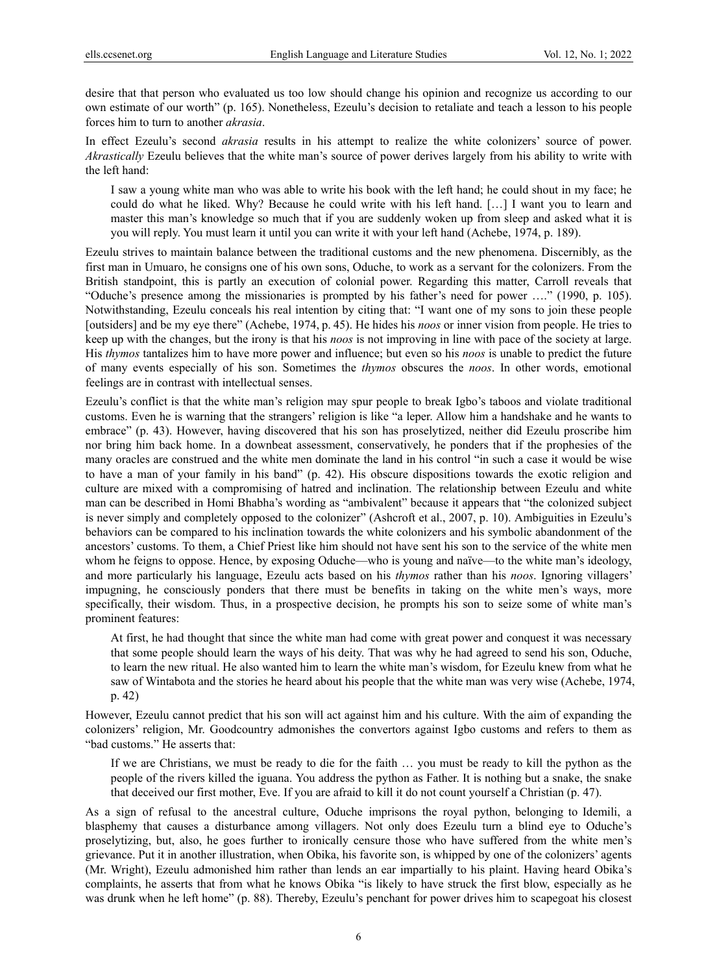desire that that person who evaluated us too low should change his opinion and recognize us according to our own estimate of our worth" (p. 165). Nonetheless, Ezeulu's decision to retaliate and teach a lesson to his people forces him to turn to another *akrasia*.

In effect Ezeulu's second *akrasia* results in his attempt to realize the white colonizers' source of power. *Akrastically* Ezeulu believes that the white man's source of power derives largely from his ability to write with the left hand:

I saw a young white man who was able to write his book with the left hand; he could shout in my face; he could do what he liked. Why? Because he could write with his left hand. […] I want you to learn and master this man's knowledge so much that if you are suddenly woken up from sleep and asked what it is you will reply. You must learn it until you can write it with your left hand (Achebe, 1974, p. 189).

Ezeulu strives to maintain balance between the traditional customs and the new phenomena. Discernibly, as the first man in Umuaro, he consigns one of his own sons, Oduche, to work as a servant for the colonizers. From the British standpoint, this is partly an execution of colonial power. Regarding this matter, Carroll reveals that "Oduche's presence among the missionaries is prompted by his father's need for power …." (1990, p. 105). Notwithstanding, Ezeulu conceals his real intention by citing that: "I want one of my sons to join these people [outsiders] and be my eye there" (Achebe, 1974, p. 45). He hides his *noos* or inner vision from people. He tries to keep up with the changes, but the irony is that his *noos* is not improving in line with pace of the society at large. His *thymos* tantalizes him to have more power and influence; but even so his *noos* is unable to predict the future of many events especially of his son. Sometimes the *thymos* obscures the *noos*. In other words, emotional feelings are in contrast with intellectual senses.

Ezeulu's conflict is that the white man's religion may spur people to break Igbo's taboos and violate traditional customs. Even he is warning that the strangers' religion is like "a leper. Allow him a handshake and he wants to embrace" (p. 43). However, having discovered that his son has proselytized, neither did Ezeulu proscribe him nor bring him back home. In a downbeat assessment, conservatively, he ponders that if the prophesies of the many oracles are construed and the white men dominate the land in his control "in such a case it would be wise to have a man of your family in his band" (p. 42). His obscure dispositions towards the exotic religion and culture are mixed with a compromising of hatred and inclination. The relationship between Ezeulu and white man can be described in Homi Bhabha's wording as "ambivalent" because it appears that "the colonized subject is never simply and completely opposed to the colonizer" (Ashcroft et al., 2007, p. 10). Ambiguities in Ezeulu's behaviors can be compared to his inclination towards the white colonizers and his symbolic abandonment of the ancestors' customs. To them, a Chief Priest like him should not have sent his son to the service of the white men whom he feigns to oppose. Hence, by exposing Oduche—who is young and naïve—to the white man's ideology, and more particularly his language, Ezeulu acts based on his *thymos* rather than his *noos*. Ignoring villagers' impugning, he consciously ponders that there must be benefits in taking on the white men's ways, more specifically, their wisdom. Thus, in a prospective decision, he prompts his son to seize some of white man's prominent features:

At first, he had thought that since the white man had come with great power and conquest it was necessary that some people should learn the ways of his deity. That was why he had agreed to send his son, Oduche, to learn the new ritual. He also wanted him to learn the white man's wisdom, for Ezeulu knew from what he saw of Wintabota and the stories he heard about his people that the white man was very wise (Achebe, 1974, p. 42)

However, Ezeulu cannot predict that his son will act against him and his culture. With the aim of expanding the colonizers' religion, Mr. Goodcountry admonishes the convertors against Igbo customs and refers to them as "bad customs." He asserts that:

If we are Christians, we must be ready to die for the faith … you must be ready to kill the python as the people of the rivers killed the iguana. You address the python as Father. It is nothing but a snake, the snake that deceived our first mother, Eve. If you are afraid to kill it do not count yourself a Christian (p. 47).

As a sign of refusal to the ancestral culture, Oduche imprisons the royal python, belonging to Idemili, a blasphemy that causes a disturbance among villagers. Not only does Ezeulu turn a blind eye to Oduche's proselytizing, but, also, he goes further to ironically censure those who have suffered from the white men's grievance. Put it in another illustration, when Obika, his favorite son, is whipped by one of the colonizers' agents (Mr. Wright), Ezeulu admonished him rather than lends an ear impartially to his plaint. Having heard Obika's complaints, he asserts that from what he knows Obika "is likely to have struck the first blow, especially as he was drunk when he left home" (p. 88). Thereby, Ezeulu's penchant for power drives him to scapegoat his closest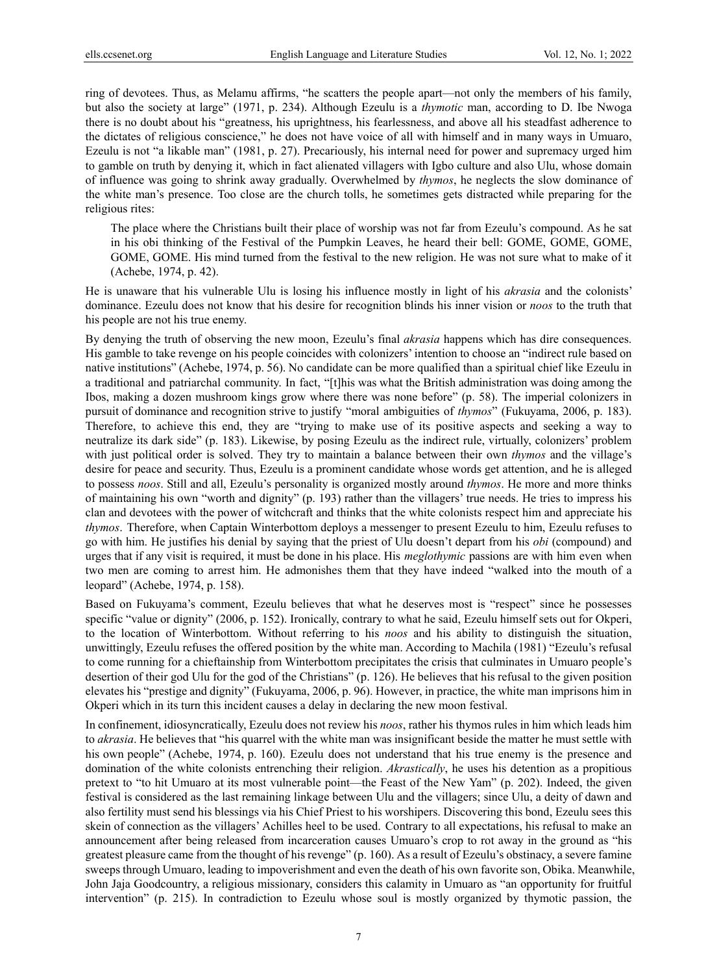ring of devotees. Thus, as Melamu affirms, "he scatters the people apart—not only the members of his family, but also the society at large" (1971, p. 234). Although Ezeulu is a *thymotic* man, according to D. Ibe Nwoga there is no doubt about his "greatness, his uprightness, his fearlessness, and above all his steadfast adherence to the dictates of religious conscience," he does not have voice of all with himself and in many ways in Umuaro, Ezeulu is not "a likable man" (1981, p. 27). Precariously, his internal need for power and supremacy urged him to gamble on truth by denying it, which in fact alienated villagers with Igbo culture and also Ulu, whose domain of influence was going to shrink away gradually. Overwhelmed by *thymos*, he neglects the slow dominance of the white man's presence. Too close are the church tolls, he sometimes gets distracted while preparing for the religious rites:

The place where the Christians built their place of worship was not far from Ezeulu's compound. As he sat in his obi thinking of the Festival of the Pumpkin Leaves, he heard their bell: GOME, GOME, GOME, GOME, GOME. His mind turned from the festival to the new religion. He was not sure what to make of it (Achebe, 1974, p. 42).

He is unaware that his vulnerable Ulu is losing his influence mostly in light of his *akrasia* and the colonists' dominance. Ezeulu does not know that his desire for recognition blinds his inner vision or *noos* to the truth that his people are not his true enemy.

By denying the truth of observing the new moon, Ezeulu's final *akrasia* happens which has dire consequences. His gamble to take revenge on his people coincides with colonizers' intention to choose an "indirect rule based on native institutions" (Achebe, 1974, p. 56). No candidate can be more qualified than a spiritual chief like Ezeulu in a traditional and patriarchal community. In fact, "[t]his was what the British administration was doing among the Ibos, making a dozen mushroom kings grow where there was none before" (p. 58). The imperial colonizers in pursuit of dominance and recognition strive to justify "moral ambiguities of *thymos*" (Fukuyama, 2006, p. 183). Therefore, to achieve this end, they are "trying to make use of its positive aspects and seeking a way to neutralize its dark side" (p. 183). Likewise, by posing Ezeulu as the indirect rule, virtually, colonizers' problem with just political order is solved. They try to maintain a balance between their own *thymos* and the village's desire for peace and security. Thus, Ezeulu is a prominent candidate whose words get attention, and he is alleged to possess *noos*. Still and all, Ezeulu's personality is organized mostly around *thymos*. He more and more thinks of maintaining his own "worth and dignity" (p. 193) rather than the villagers' true needs. He tries to impress his clan and devotees with the power of witchcraft and thinks that the white colonists respect him and appreciate his *thymos*. Therefore, when Captain Winterbottom deploys a messenger to present Ezeulu to him, Ezeulu refuses to go with him. He justifies his denial by saying that the priest of Ulu doesn't depart from his *obi* (compound) and urges that if any visit is required, it must be done in his place. His *meglothymic* passions are with him even when two men are coming to arrest him. He admonishes them that they have indeed "walked into the mouth of a leopard" (Achebe, 1974, p. 158).

Based on Fukuyama's comment, Ezeulu believes that what he deserves most is "respect" since he possesses specific "value or dignity" (2006, p. 152). Ironically, contrary to what he said, Ezeulu himself sets out for Okperi, to the location of Winterbottom. Without referring to his *noos* and his ability to distinguish the situation, unwittingly, Ezeulu refuses the offered position by the white man. According to Machila (1981) "Ezeulu's refusal to come running for a chieftainship from Winterbottom precipitates the crisis that culminates in Umuaro people's desertion of their god Ulu for the god of the Christians" (p. 126). He believes that his refusal to the given position elevates his "prestige and dignity" (Fukuyama, 2006, p. 96). However, in practice, the white man imprisons him in Okperi which in its turn this incident causes a delay in declaring the new moon festival.

In confinement, idiosyncratically, Ezeulu does not review his *noos*, rather his thymos rules in him which leads him to *akrasia*. He believes that "his quarrel with the white man was insignificant beside the matter he must settle with his own people" (Achebe, 1974, p. 160). Ezeulu does not understand that his true enemy is the presence and domination of the white colonists entrenching their religion. *Akrastically*, he uses his detention as a propitious pretext to "to hit Umuaro at its most vulnerable point—the Feast of the New Yam" (p. 202). Indeed, the given festival is considered as the last remaining linkage between Ulu and the villagers; since Ulu, a deity of dawn and also fertility must send his blessings via his Chief Priest to his worshipers. Discovering this bond, Ezeulu sees this skein of connection as the villagers' Achilles heel to be used. Contrary to all expectations, his refusal to make an announcement after being released from incarceration causes Umuaro's crop to rot away in the ground as "his greatest pleasure came from the thought of his revenge" (p. 160). As a result of Ezeulu's obstinacy, a severe famine sweeps through Umuaro, leading to impoverishment and even the death of his own favorite son, Obika. Meanwhile, John Jaja Goodcountry, a religious missionary, considers this calamity in Umuaro as "an opportunity for fruitful intervention" (p. 215). In contradiction to Ezeulu whose soul is mostly organized by thymotic passion, the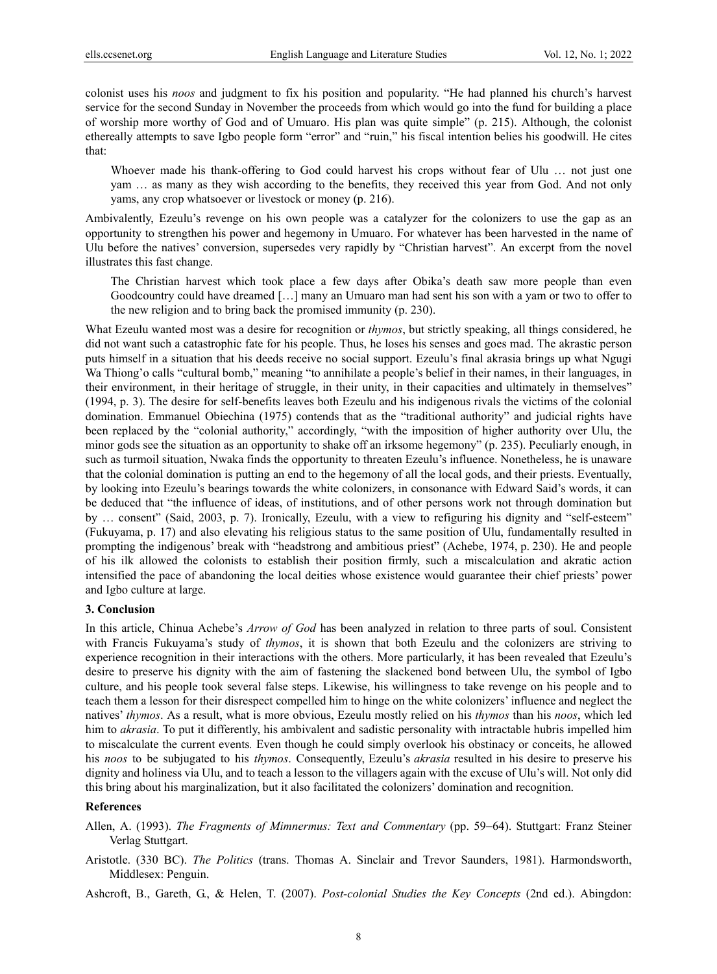colonist uses his *noos* and judgment to fix his position and popularity. "He had planned his church's harvest service for the second Sunday in November the proceeds from which would go into the fund for building a place of worship more worthy of God and of Umuaro. His plan was quite simple" (p. 215). Although, the colonist ethereally attempts to save Igbo people form "error" and "ruin," his fiscal intention belies his goodwill. He cites that:

Whoever made his thank-offering to God could harvest his crops without fear of Ulu … not just one yam … as many as they wish according to the benefits, they received this year from God. And not only yams, any crop whatsoever or livestock or money (p. 216).

Ambivalently, Ezeulu's revenge on his own people was a catalyzer for the colonizers to use the gap as an opportunity to strengthen his power and hegemony in Umuaro. For whatever has been harvested in the name of Ulu before the natives' conversion, supersedes very rapidly by "Christian harvest". An excerpt from the novel illustrates this fast change.

The Christian harvest which took place a few days after Obika's death saw more people than even Goodcountry could have dreamed […] many an Umuaro man had sent his son with a yam or two to offer to the new religion and to bring back the promised immunity (p. 230).

What Ezeulu wanted most was a desire for recognition or *thymos*, but strictly speaking, all things considered, he did not want such a catastrophic fate for his people. Thus, he loses his senses and goes mad. The akrastic person puts himself in a situation that his deeds receive no social support. Ezeulu's final akrasia brings up what Ngugi Wa Thiong'o calls "cultural bomb," meaning "to annihilate a people's belief in their names, in their languages, in their environment, in their heritage of struggle, in their unity, in their capacities and ultimately in themselves" (1994, p. 3). The desire for self-benefits leaves both Ezeulu and his indigenous rivals the victims of the colonial domination. Emmanuel Obiechina (1975) contends that as the "traditional authority" and judicial rights have been replaced by the "colonial authority," accordingly, "with the imposition of higher authority over Ulu, the minor gods see the situation as an opportunity to shake off an irksome hegemony" (p. 235). Peculiarly enough, in such as turmoil situation, Nwaka finds the opportunity to threaten Ezeulu's influence. Nonetheless, he is unaware that the colonial domination is putting an end to the hegemony of all the local gods, and their priests. Eventually, by looking into Ezeulu's bearings towards the white colonizers, in consonance with Edward Said's words, it can be deduced that "the influence of ideas, of institutions, and of other persons work not through domination but by … consent" (Said, 2003, p. 7). Ironically, Ezeulu, with a view to refiguring his dignity and "self-esteem" (Fukuyama, p. 17) and also elevating his religious status to the same position of Ulu, fundamentally resulted in prompting the indigenous' break with "headstrong and ambitious priest" (Achebe, 1974, p. 230). He and people of his ilk allowed the colonists to establish their position firmly, such a miscalculation and akratic action intensified the pace of abandoning the local deities whose existence would guarantee their chief priests' power and Igbo culture at large.

#### **3. Conclusion**

In this article, Chinua Achebe's *Arrow of God* has been analyzed in relation to three parts of soul. Consistent with Francis Fukuyama's study of *thymos*, it is shown that both Ezeulu and the colonizers are striving to experience recognition in their interactions with the others. More particularly, it has been revealed that Ezeulu's desire to preserve his dignity with the aim of fastening the slackened bond between Ulu, the symbol of Igbo culture, and his people took several false steps. Likewise, his willingness to take revenge on his people and to teach them a lesson for their disrespect compelled him to hinge on the white colonizers' influence and neglect the natives' *thymos*. As a result, what is more obvious, Ezeulu mostly relied on his *thymos* than his *noos*, which led him to *akrasia*. To put it differently, his ambivalent and sadistic personality with intractable hubris impelled him to miscalculate the current events*.* Even though he could simply overlook his obstinacy or conceits, he allowed his *noos* to be subjugated to his *thymos*. Consequently, Ezeulu's *akrasia* resulted in his desire to preserve his dignity and holiness via Ulu, and to teach a lesson to the villagers again with the excuse of Ulu's will. Not only did this bring about his marginalization, but it also facilitated the colonizers' domination and recognition.

#### **References**

- Allen, A. (1993). *The Fragments of Mimnermus: Text and Commentary* (pp. 59−64). Stuttgart: Franz Steiner Verlag Stuttgart.
- Aristotle. (330 BC). *The Politics* (trans. Thomas A. Sinclair and Trevor Saunders, 1981). Harmondsworth, Middlesex: Penguin.

Ashcroft, B., Gareth, G., & Helen, T. (2007). *Post-colonial Studies the Key Concepts* (2nd ed.). Abingdon: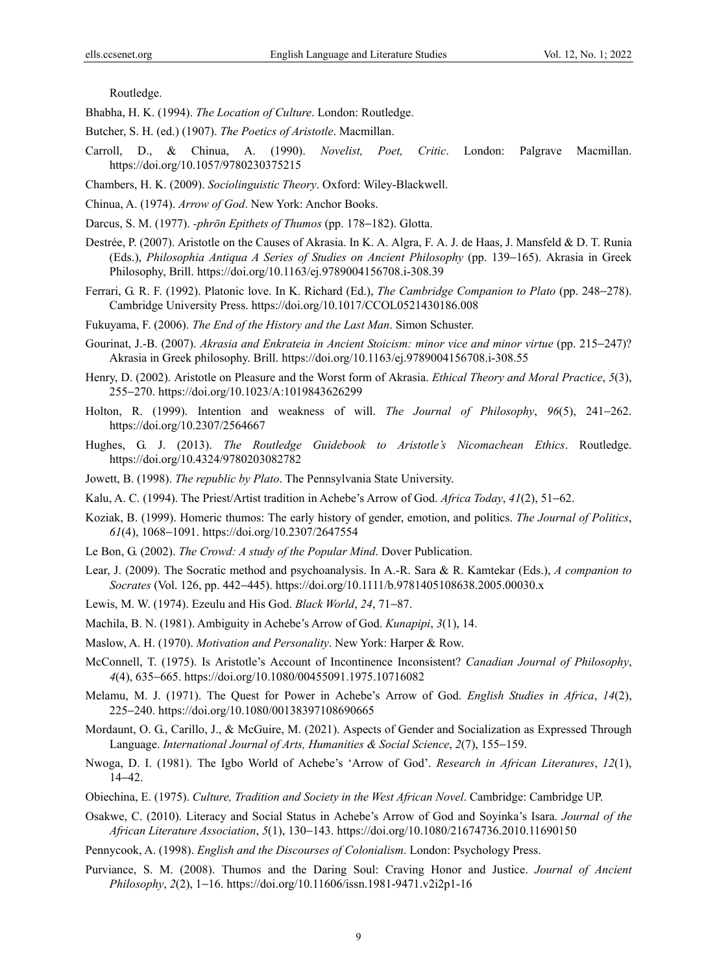Routledge.

Bhabha, H. K. (1994). *The Location of Culture*. London: Routledge.

Butcher, S. H. (ed.) (1907). *The Poetics of Aristotle*. Macmillan.

- Carroll, D., & Chinua, A. (1990). *Novelist, Poet, Critic*. London: Palgrave Macmillan. https://doi.org/10.1057/9780230375215
- Chambers, H. K. (2009). *Sociolinguistic Theory*. Oxford: Wiley-Blackwell.
- Chinua, A. (1974). *Arrow of God*. New York: Anchor Books.
- Darcus, S. M. (1977). *-phrōn Epithets of Thumos* (pp. 178−182). Glotta.
- Destrée, P. (2007). Aristotle on the Causes of Akrasia. In K. A. Algra, F. A. J. de Haas, J. Mansfeld & D. T. Runia (Eds.), *Philosophia Antiqua A Series of Studies on Ancient Philosophy* (pp. 139−165). Akrasia in Greek Philosophy, Brill. https://doi.org/10.1163/ej.9789004156708.i-308.39
- Ferrari, G. R. F. (1992). Platonic love. In K. Richard (Ed.), *The Cambridge Companion to Plato* (pp. 248−278). Cambridge University Press. https://doi.org/10.1017/CCOL0521430186.008
- Fukuyama, F. (2006). *The End of the History and the Last Man*. Simon Schuster.
- Gourinat, J.-B. (2007). *Akrasia and Enkrateia in Ancient Stoicism: minor vice and minor virtue* (pp. 215−247)? Akrasia in Greek philosophy. Brill. https://doi.org/10.1163/ej.9789004156708.i-308.55
- Henry, D. (2002). Aristotle on Pleasure and the Worst form of Akrasia. *Ethical Theory and Moral Practice*, *5*(3), 255−270. https://doi.org/10.1023/A:1019843626299
- Holton, R. (1999). Intention and weakness of will. *The Journal of Philosophy*, *96*(5), 241−262. https://doi.org/10.2307/2564667
- Hughes, G. J. (2013). *The Routledge Guidebook to Aristotle's Nicomachean Ethics*. Routledge. https://doi.org/10.4324/9780203082782
- Jowett, B. (1998). *The republic by Plato*. The Pennsylvania State University.
- Kalu, A. C. (1994). The Priest/Artist tradition in Achebe's Arrow of God. *Africa Today*, *41*(2), 51−62.
- Koziak, B. (1999). Homeric thumos: The early history of gender, emotion, and politics. *The Journal of Politics*, *61*(4), 1068−1091. https://doi.org/10.2307/2647554
- Le Bon, G. (2002). *The Crowd: A study of the Popular Mind*. Dover Publication.
- Lear, J. (2009). The Socratic method and psychoanalysis. In A.-R. Sara & R. Kamtekar (Eds.), *A companion to Socrates* (Vol. 126, pp. 442−445). https://doi.org/10.1111/b.9781405108638.2005.00030.x
- Lewis, M. W. (1974). Ezeulu and His God. *Black World*, *24*, 71−87.
- Machila, B. N. (1981). Ambiguity in Achebe's Arrow of God. *Kunapipi*, *3*(1), 14.
- Maslow, A. H. (1970). *Motivation and Personality*. New York: Harper & Row.
- McConnell, T. (1975). Is Aristotle's Account of Incontinence Inconsistent? *Canadian Journal of Philosophy*, *4*(4), 635−665. https://doi.org/10.1080/00455091.1975.10716082
- Melamu, M. J. (1971). The Quest for Power in Achebe's Arrow of God. *English Studies in Africa*, *14*(2), 225−240. https://doi.org/10.1080/00138397108690665
- Mordaunt, O. G., Carillo, J., & McGuire, M. (2021). Aspects of Gender and Socialization as Expressed Through Language. *International Journal of Arts, Humanities & Social Science*, *2*(7), 155−159.
- Nwoga, D. I. (1981). The Igbo World of Achebe's 'Arrow of God'. *Research in African Literatures*, *12*(1), 14−42.
- Obiechina, E. (1975). *Culture, Tradition and Society in the West African Novel*. Cambridge: Cambridge UP.
- Osakwe, C. (2010). Literacy and Social Status in Achebe's Arrow of God and Soyinka's Isara. *Journal of the African Literature Association*, *5*(1), 130−143. https://doi.org/10.1080/21674736.2010.11690150
- Pennycook, A. (1998). *English and the Discourses of Colonialism*. London: Psychology Press.
- Purviance, S. M. (2008). Thumos and the Daring Soul: Craving Honor and Justice. *Journal of Ancient Philosophy*, *2*(2), 1−16. https://doi.org/10.11606/issn.1981-9471.v2i2p1-16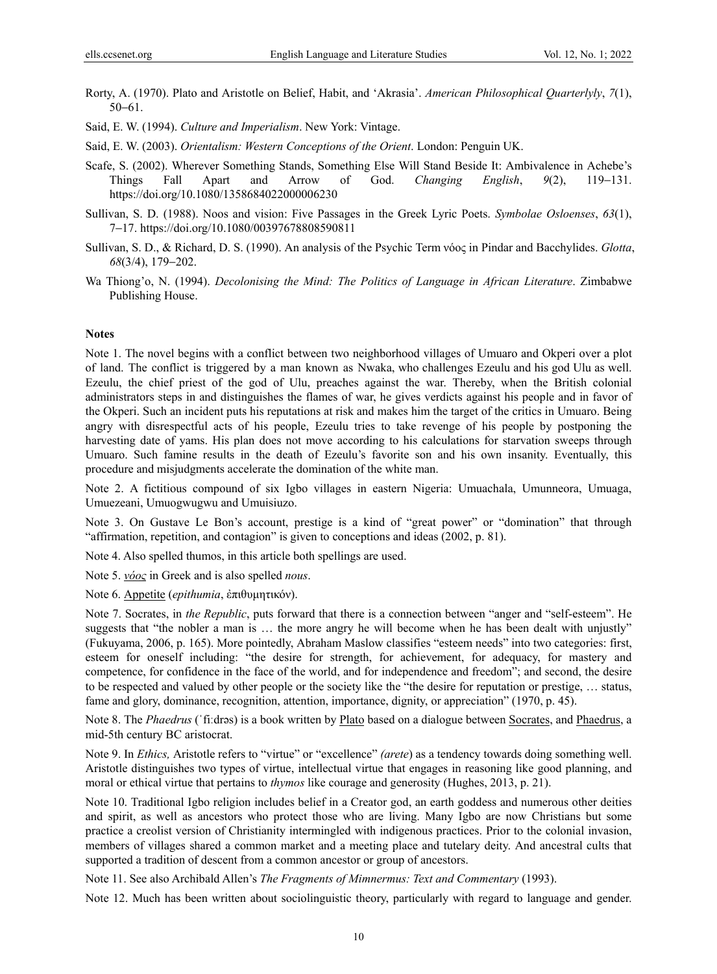Rorty, A. (1970). Plato and Aristotle on Belief, Habit, and 'Akrasia'. *American Philosophical Quarterlyly*, *7*(1), 50−61.

Said, E. W. (1994). *Culture and Imperialism*. New York: Vintage.

Said, E. W. (2003). *Orientalism: Western Conceptions of the Orient*. London: Penguin UK.

- Scafe, S. (2002). Wherever Something Stands, Something Else Will Stand Beside It: Ambivalence in Achebe's Things Fall Apart and Arrow of God. *Changing English*, *9*(2), 119−131. https://doi.org/10.1080/1358684022000006230
- Sullivan, S. D. (1988). Noos and vision: Five Passages in the Greek Lyric Poets. *Symbolae Osloenses*, *63*(1), 7−17. https://doi.org/10.1080/00397678808590811
- Sullivan, S. D., & Richard, D. S. (1990). An analysis of the Psychic Term νόος in Pindar and Bacchylides. *Glotta*, *68*(3/4), 179−202.
- Wa Thiong'o, N. (1994). *Decolonising the Mind: The Politics of Language in African Literature*. Zimbabwe Publishing House.

#### **Notes**

Note 1. The novel begins with a conflict between two neighborhood villages of Umuaro and Okperi over a plot of land. The conflict is triggered by a man known as Nwaka, who challenges Ezeulu and his god Ulu as well. Ezeulu, the chief priest of the god of Ulu, preaches against the war. Thereby, when the British colonial administrators steps in and distinguishes the flames of war, he gives verdicts against his people and in favor of the Okperi. Such an incident puts his reputations at risk and makes him the target of the critics in Umuaro. Being angry with disrespectful acts of his people, Ezeulu tries to take revenge of his people by postponing the harvesting date of yams. His plan does not move according to his calculations for starvation sweeps through Umuaro. Such famine results in the death of Ezeulu's favorite son and his own insanity. Eventually, this procedure and misjudgments accelerate the domination of the white man.

Note 2. A fictitious compound of six Igbo villages in eastern Nigeria: Umuachala, Umunneora, Umuaga, Umuezeani, Umuogwugwu and Umuisiuzo.

Note 3. On Gustave Le Bon's account, prestige is a kind of "great power" or "domination" that through "affirmation, repetition, and contagion" is given to conceptions and ideas (2002, p. 81).

Note 4. Also spelled thumos, in this article both spellings are used.

Note 5. *νόος* in Greek and is also spelled *nous*.

Note 6. Appetite (*epithumia*, ἐπιθυμητικόν).

Note 7. Socrates, in *the Republic*, puts forward that there is a connection between "anger and "self-esteem". He suggests that "the nobler a man is ... the more angry he will become when he has been dealt with unjustly" (Fukuyama, 2006, p. 165). More pointedly, Abraham Maslow classifies "esteem needs" into two categories: first, esteem for oneself including: "the desire for strength, for achievement, for adequacy, for mastery and competence, for confidence in the face of the world, and for independence and freedom"; and second, the desire to be respected and valued by other people or the society like the "the desire for reputation or prestige, … status, fame and glory, dominance, recognition, attention, importance, dignity, or appreciation" (1970, p. 45).

Note 8. The *Phaedrus* (ˈfiːdrəs) is a book written by Plato based on a dialogue between Socrates, and Phaedrus, a mid-5th century BC aristocrat.

Note 9. In *Ethics,* Aristotle refers to "virtue" or "excellence" *(arete*) as a tendency towards doing something well. Aristotle distinguishes two types of virtue, intellectual virtue that engages in reasoning like good planning, and moral or ethical virtue that pertains to *thymos* like courage and generosity (Hughes, 2013, p. 21).

Note 10. Traditional Igbo religion includes belief in a Creator god, an earth goddess and numerous other deities and spirit, as well as ancestors who protect those who are living. Many Igbo are now Christians but some practice a creolist version of Christianity intermingled with indigenous practices. Prior to the colonial invasion, members of villages shared a common market and a meeting place and tutelary deity. And ancestral cults that supported a tradition of descent from a common ancestor or group of ancestors.

Note 11. See also Archibald Allen's *The Fragments of Mimnermus: Text and Commentary* (1993).

Note 12. Much has been written about sociolinguistic theory, particularly with regard to language and gender.